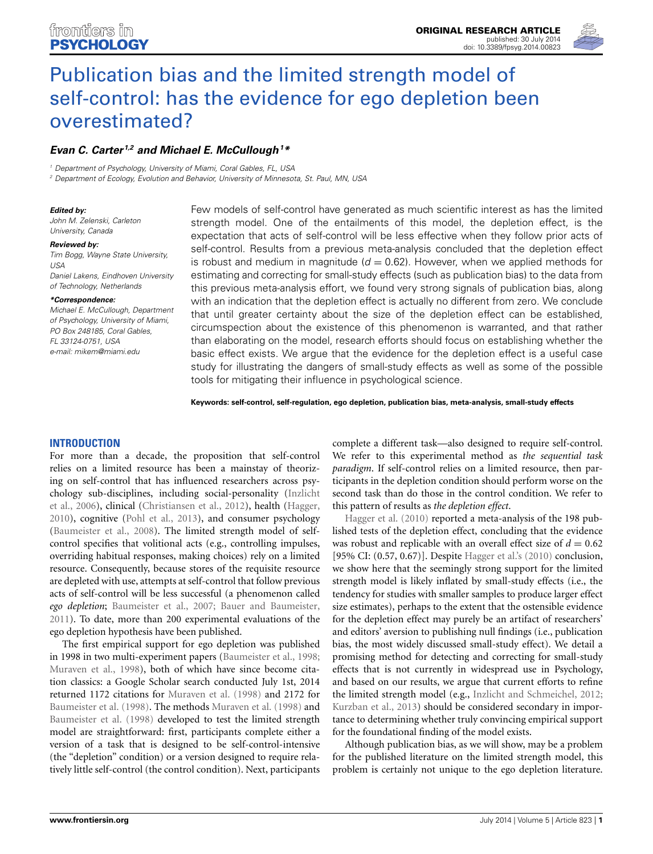

# Publication bias and the limited strength model of [self-control: has the evidence for ego depletion been](http://www.frontiersin.org/journal/10.3389/fpsyg.2014.00823/abstract) overestimated?

# *[Evan C. Carter](http://community.frontiersin.org/people/u/161485) 1,2 and [Michael E. McCullough](http://community.frontiersin.org/people/u/130087)1 \**

*<sup>1</sup> Department of Psychology, University of Miami, Coral Gables, FL, USA*

*<sup>2</sup> Department of Ecology, Evolution and Behavior, University of Minnesota, St. Paul, MN, USA*

#### *Edited by:*

*John M. Zelenski, Carleton University, Canada*

#### *Reviewed by:*

*Tim Bogg, Wayne State University, USA Daniel Lakens, Eindhoven University*

*of Technology, Netherlands*

#### *\*Correspondence:*

*Michael E. McCullough, Department of Psychology, University of Miami, PO Box 248185, Coral Gables, FL 33124-0751, USA e-mail: [mikem@miami.edu](mailto:mikem@miami.edu)*

Few models of self-control have generated as much scientific interest as has the limited strength model. One of the entailments of this model, the depletion effect, is the expectation that acts of self-control will be less effective when they follow prior acts of self-control. Results from a previous meta-analysis concluded that the depletion effect is robust and medium in magnitude  $(d = 0.62)$ . However, when we applied methods for estimating and correcting for small-study effects (such as publication bias) to the data from this previous meta-analysis effort, we found very strong signals of publication bias, along with an indication that the depletion effect is actually no different from zero. We conclude that until greater certainty about the size of the depletion effect can be established, circumspection about the existence of this phenomenon is warranted, and that rather than elaborating on the model, research efforts should focus on establishing whether the basic effect exists. We argue that the evidence for the depletion effect is a useful case study for illustrating the dangers of small-study effects as well as some of the possible tools for mitigating their influence in psychological science.

**Keywords: self-control, self-regulation, ego depletion, publication bias, meta-analysis, small-study effects**

#### **INTRODUCTION**

For more than a decade, the proposition that self-control relies on a limited resource has been a mainstay of theorizing on self-control that has influenced researchers across psychol[ogy sub-disciplines, including social-personality \(](#page-9-0)Inzlicht et al., [2006\)](#page-9-0), clinical [\(Christiansen et al., 2012](#page-8-0)), health [\(Hagger,](#page-9-1) [2010](#page-9-1)), cognitive [\(Pohl et al., 2013](#page-9-2)), and consumer psychology [\(Baumeister et al., 2008](#page-8-1)). The limited strength model of selfcontrol specifies that volitional acts (e.g., controlling impulses, overriding habitual responses, making choices) rely on a limited resource. Consequently, because stores of the requisite resource are depleted with use, attempts at self-control that follow previous acts of self-control will be less successful (a phenomenon called *ego depletion*; [Baumeister et al., 2007;](#page-8-2) [Bauer and Baumeister,](#page-8-3) [2011](#page-8-3)). To date, more than 200 experimental evaluations of the ego depletion hypothesis have been published.

The first empirical support for ego depletion was published in 1998 in two multi-experiment papers [\(Baumeister et al., 1998;](#page-8-4) [Muraven et al., 1998](#page-9-3)), both of which have since become citation classics: a Google Scholar search conducted July 1st, 2014 returned 1172 citations for [Muraven et al.](#page-9-3) [\(1998\)](#page-9-3) and 2172 for [Baumeister et al.](#page-8-4) [\(1998\)](#page-8-4). The methods [Muraven et al.](#page-9-3) [\(1998\)](#page-9-3) and [Baumeister et al.](#page-8-4) [\(1998\)](#page-8-4) developed to test the limited strength model are straightforward: first, participants complete either a version of a task that is designed to be self-control-intensive (the "depletion" condition) or a version designed to require relatively little self-control (the control condition). Next, participants

complete a different task—also designed to require self-control. We refer to this experimental method as *the sequential task paradigm*. If self-control relies on a limited resource, then participants in the depletion condition should perform worse on the second task than do those in the control condition. We refer to [this](#page-9-4) [pattern](#page-9-4) [of](#page-9-4) [re](#page-9-4)sults as *the depletion effect*.

Hagger et al. [\(2010](#page-9-4)) reported a meta-analysis of the 198 published tests of the depletion effect, concluding that the evidence was robust and replicable with an overall effect size of  $d = 0.62$ [95% CI: (0.57, 0.67)]. Despite [Hagger et al.'s](#page-9-4) [\(2010](#page-9-4)) conclusion, we show here that the seemingly strong support for the limited strength model is likely inflated by small-study effects (i.e., the tendency for studies with smaller samples to produce larger effect size estimates), perhaps to the extent that the ostensible evidence for the depletion effect may purely be an artifact of researchers' and editors' aversion to publishing null findings (i.e., publication bias, the most widely discussed small-study effect). We detail a promising method for detecting and correcting for small-study effects that is not currently in widespread use in Psychology, and based on our results, we argue that current efforts to refine the limited strength model (e.g., [Inzlicht and Schmeichel, 2012;](#page-9-5) [Kurzban et al., 2013](#page-9-6)) should be considered secondary in importance to determining whether truly convincing empirical support for the foundational finding of the model exists.

Although publication bias, as we will show, may be a problem for the published literature on the limited strength model, this problem is certainly not unique to the ego depletion literature.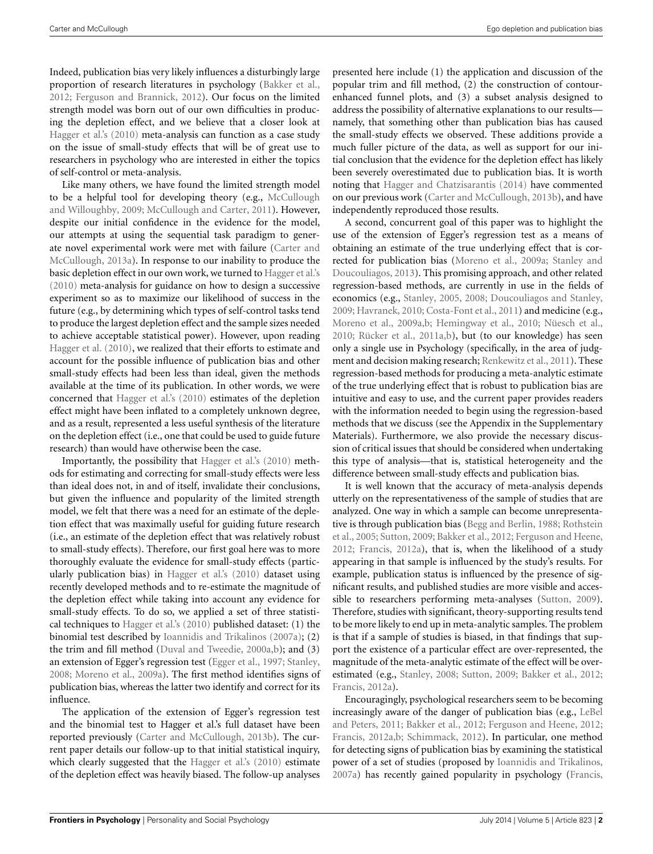Indeed, publication bias very likely influences a disturbingly large proportion of research literatures in psychology [\(Bakker et al.](#page-8-5), [2012](#page-8-5); [Ferguson and Brannick](#page-8-6), [2012\)](#page-8-6). Our focus on the limited strength model was born out of our own difficulties in producing the depletion effect, and we believe that a closer look at [Hagger et al.'s](#page-9-4) [\(2010\)](#page-9-4) meta-analysis can function as a case study on the issue of small-study effects that will be of great use to researchers in psychology who are interested in either the topics of self-control or meta-analysis.

Like many others, we have found the limited strength model to be a helpful [tool for developing theory \(e.g.,](#page-9-7) McCullough and Willoughby, [2009](#page-9-7); [McCullough and Carter](#page-9-8), [2011\)](#page-9-8). However, despite our initial confidence in the evidence for the model, our attempts at using the sequential task paradigm to generate novel ex[perimental](#page-8-7) [work](#page-8-7) [were](#page-8-7) [met](#page-8-7) [with](#page-8-7) [failure](#page-8-7) [\(](#page-8-7)Carter and McCullough, [2013a](#page-8-7)). In response to our inability to produce the basic depletion effect in our own work, we turned to [Hagger et al.'s](#page-9-4) [\(2010\)](#page-9-4) meta-analysis for guidance on how to design a successive experiment so as to maximize our likelihood of success in the future (e.g., by determining which types of self-control tasks tend to produce the largest depletion effect and the sample sizes needed to achieve acceptable statistical power). However, upon reading [Hagger et al.](#page-9-4) [\(2010\)](#page-9-4), we realized that their efforts to estimate and account for the possible influence of publication bias and other small-study effects had been less than ideal, given the methods available at the time of its publication. In other words, we were concerned that [Hagger et al.'s](#page-9-4) [\(2010\)](#page-9-4) estimates of the depletion effect might have been inflated to a completely unknown degree, and as a result, represented a less useful synthesis of the literature on the depletion effect (i.e., one that could be used to guide future research) than would have otherwise been the case.

Importantly, the possibility that [Hagger et al.'s](#page-9-4) [\(2010\)](#page-9-4) methods for estimating and correcting for small-study effects were less than ideal does not, in and of itself, invalidate their conclusions, but given the influence and popularity of the limited strength model, we felt that there was a need for an estimate of the depletion effect that was maximally useful for guiding future research (i.e., an estimate of the depletion effect that was relatively robust to small-study effects). Therefore, our first goal here was to more thoroughly evaluate the evidence for small-study effects (particularly publication bias) in [Hagger et al.'s](#page-9-4) [\(2010](#page-9-4)) dataset using recently developed methods and to re-estimate the magnitude of the depletion effect while taking into account any evidence for small-study effects. To do so, we applied a set of three statistical techniques to [Hagger et al.'s](#page-9-4) [\(2010](#page-9-4)) published dataset: (1) the binomial test described by [Ioannidis and Trikalinos](#page-9-9) [\(2007a\)](#page-9-9); (2) the trim and fill method [\(Duval and Tweedie, 2000a](#page-8-8)[,b](#page-8-9)); and (3) an extension of Egger's regression test [\(Egger et al., 1997;](#page-8-10) [Stanley](#page-9-10), [2008](#page-9-10); [Moreno et al., 2009a](#page-9-11)). The first method identifies signs of publication bias, whereas the latter two identify and correct for its influence.

The application of the extension of Egger's regression test and the binomial test to Hagger et al.'s full dataset have been reported previously [\(Carter and McCullough](#page-8-11), [2013b\)](#page-8-11). The current paper details our follow-up to that initial statistical inquiry, which clearly suggested that the [Hagger et al.'s](#page-9-4) [\(2010](#page-9-4)) estimate of the depletion effect was heavily biased. The follow-up analyses

presented here include (1) the application and discussion of the popular trim and fill method, (2) the construction of contourenhanced funnel plots, and (3) a subset analysis designed to address the possibility of alternative explanations to our results namely, that something other than publication bias has caused the small-study effects we observed. These additions provide a much fuller picture of the data, as well as support for our initial conclusion that the evidence for the depletion effect has likely been severely overestimated due to publication bias. It is worth noting that [Hagger and Chatzisarantis](#page-9-12) [\(2014](#page-9-12)) have commented on our previous work [\(Carter and McCullough, 2013b](#page-8-11)), and have independently reproduced those results.

A second, concurrent goal of this paper was to highlight the use of the extension of Egger's regression test as a means of obtaining an estimate of the true underlying effect that is corrected for pu[blication bias](#page-9-13) [\(Moreno et al.](#page-9-11)[,](#page-9-13) [2009a](#page-9-11)[;](#page-9-13) Stanley and Doucouliagos, [2013](#page-9-13)). This promising approach, and other related regression-based methods, are currently in use in the fields of economics (e.g., [Stanley, 2005,](#page-9-14) [2008](#page-9-10); [Doucouliagos and Stanley](#page-8-12), [2009](#page-8-12); [Havranek](#page-9-15), [2010;](#page-9-15) [Costa-Font et al., 2011\)](#page-8-13) and medicine (e.g., [Moreno et al., 2009a](#page-9-11)[,b](#page-9-16); [Hemingway et al.](#page-9-17), [2010](#page-9-17); [Nüesch et al.](#page-9-18), [2010](#page-9-18); [Rücker et al., 2011a](#page-9-19)[,b\)](#page-9-20), but (to our knowledge) has seen only a single use in Psychology (specifically, in the area of judgment and decision making research; [Renkewitz et al., 2011](#page-9-21)). These regression-based methods for producing a meta-analytic estimate of the true underlying effect that is robust to publication bias are intuitive and easy to use, and the current paper provides readers with the information needed to begin using the regression-based methods that we discuss (see the Appendix in the Supplementary Materials). Furthermore, we also provide the necessary discussion of critical issues that should be considered when undertaking this type of analysis—that is, statistical heterogeneity and the difference between small-study effects and publication bias.

It is well known that the accuracy of meta-analysis depends utterly on the representativeness of the sample of studies that are analyzed. One way in which a sample can become unrepresentative [is](#page-9-22) [through](#page-9-22) [publication](#page-9-22) [bias](#page-9-22) [\(Begg and Berlin](#page-8-14)[,](#page-9-22) [1988](#page-8-14)[;](#page-9-22) Rothstein et al., [2005;](#page-9-22) [Sutton](#page-10-0), [2009;](#page-10-0) [Bakker et al.](#page-8-5), [2012](#page-8-5); [Ferguson and Heene](#page-9-23), [2012](#page-9-23); [Francis](#page-9-24), [2012a](#page-9-24)), that is, when the likelihood of a study appearing in that sample is influenced by the study's results. For example, publication status is influenced by the presence of significant results, and published studies are more visible and accessible to researchers performing meta-analyses [\(Sutton, 2009\)](#page-10-0). Therefore, studies with significant, theory-supporting results tend to be more likely to end up in meta-analytic samples. The problem is that if a sample of studies is biased, in that findings that support the existence of a particular effect are over-represented, the magnitude of the meta-analytic estimate of the effect will be overestimated (e.g., [Stanley](#page-9-10), [2008;](#page-9-10) [Sutton, 2009](#page-10-0); [Bakker et al., 2012](#page-8-5); [Francis, 2012a](#page-9-24)).

Encouragingly, psychological researchers seem to be becoming increasing[ly](#page-9-25) [aware](#page-9-25) [of](#page-9-25) [the](#page-9-25) [danger](#page-9-25) [of](#page-9-25) [publication](#page-9-25) [bias](#page-9-25) [\(e.g.,](#page-9-25) LeBel and Peters, [2011;](#page-9-25) [Bakker et al., 2012;](#page-8-5) [Ferguson and Heene](#page-9-23), [2012](#page-9-23); [Francis, 2012a](#page-9-24)[,b;](#page-9-26) [Schimmack, 2012\)](#page-9-27). In particular, one method for detecting signs of publication bias by examining the statistical power of a set of studies (proposed by [Ioannidis and Trikalinos](#page-9-9), [2007a\)](#page-9-9) has recently gained popularity in psychology [\(Francis](#page-9-24),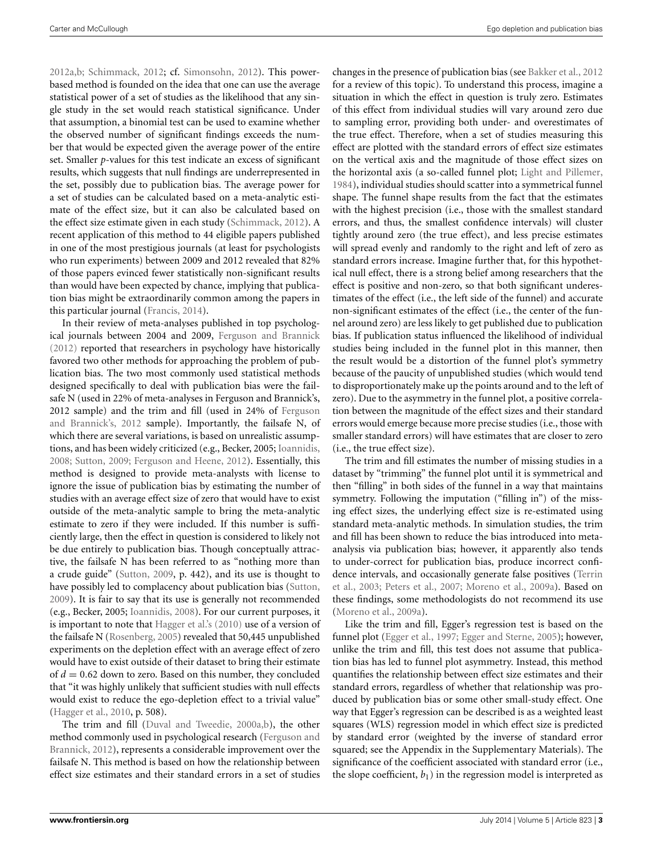[2012a](#page-9-24)[,b;](#page-9-26) [Schimmack](#page-9-27), [2012](#page-9-27); cf. [Simonsohn](#page-9-28), [2012](#page-9-28)). This powerbased method is founded on the idea that one can use the average statistical power of a set of studies as the likelihood that any single study in the set would reach statistical significance. Under that assumption, a binomial test can be used to examine whether the observed number of significant findings exceeds the number that would be expected given the average power of the entire set. Smaller *p*-values for this test indicate an excess of significant results, which suggests that null findings are underrepresented in the set, possibly due to publication bias. The average power for a set of studies can be calculated based on a meta-analytic estimate of the effect size, but it can also be calculated based on the effect size estimate given in each study [\(Schimmack, 2012\)](#page-9-27). A recent application of this method to 44 eligible papers published in one of the most prestigious journals (at least for psychologists who run experiments) between 2009 and 2012 revealed that 82% of those papers evinced fewer statistically non-significant results than would have been expected by chance, implying that publication bias might be extraordinarily common among the papers in this particular journal [\(Francis, 2014\)](#page-9-29).

In their review of meta-analyses published in top psychological journals between 2004 and 2009, [Ferguson and Brannick](#page-8-6) [\(2012\)](#page-8-6) reported that researchers in psychology have historically favored two other methods for approaching the problem of publication bias. The two most commonly used statistical methods designed specifically to deal with publication bias were the failsafe N (used in 22% of meta-analyses in Ferguson and Brannick's, 2012 sample) [and](#page-8-6) [the](#page-8-6) [trim](#page-8-6) [and](#page-8-6) [fill](#page-8-6) [\(used](#page-8-6) [in](#page-8-6) [24%](#page-8-6) [of](#page-8-6) Ferguson and Brannick's, [2012](#page-8-6) sample). Importantly, the failsafe N, of which there are several variations, is based on unrealistic assumptions, and has been widely criticized (e.g., Becker, 2005; [Ioannidis,](#page-9-30) [2008](#page-9-30); [Sutton, 2009](#page-10-0); [Ferguson and Heene, 2012\)](#page-9-23). Essentially, this method is designed to provide meta-analysts with license to ignore the issue of publication bias by estimating the number of studies with an average effect size of zero that would have to exist outside of the meta-analytic sample to bring the meta-analytic estimate to zero if they were included. If this number is sufficiently large, then the effect in question is considered to likely not be due entirely to publication bias. Though conceptually attractive, the failsafe N has been referred to as "nothing more than a crude guide" [\(Sutton](#page-10-0), [2009,](#page-10-0) p. 442), and its use is thought to have possibly led to complacency about publication bias [\(Sutton,](#page-10-0) [2009](#page-10-0)). It is fair to say that its use is generally not recommended (e.g., Becker, 2005; [Ioannidis, 2008](#page-9-30)). For our current purposes, it is important to note that [Hagger et al.'s](#page-9-4) [\(2010](#page-9-4)) use of a version of the failsafe N [\(Rosenberg](#page-9-31), [2005\)](#page-9-31) revealed that 50,445 unpublished experiments on the depletion effect with an average effect of zero would have to exist outside of their dataset to bring their estimate of  $d = 0.62$  down to zero. Based on this number, they concluded that "it was highly unlikely that sufficient studies with null effects would exist to reduce the ego-depletion effect to a trivial value" [\(Hagger et al.](#page-9-4), [2010,](#page-9-4) p. 508).

The trim and fill [\(Duval and Tweedie](#page-8-8), [2000a](#page-8-8)[,b](#page-8-9)), the other method [commonly used in psychological research \(](#page-8-6)Ferguson and Brannick, [2012\)](#page-8-6), represents a considerable improvement over the failsafe N. This method is based on how the relationship between effect size estimates and their standard errors in a set of studies

changes in the presence of publication bias (see [Bakker et al.](#page-8-5), [2012](#page-8-5) for a review of this topic). To understand this process, imagine a situation in which the effect in question is truly zero. Estimates of this effect from individual studies will vary around zero due to sampling error, providing both under- and overestimates of the true effect. Therefore, when a set of studies measuring this effect are plotted with the standard errors of effect size estimates on the vertical axis and the magnitude of those effect sizes on the horizontal axis (a so-called funnel plot; [Light and Pillemer,](#page-9-32) [1984](#page-9-32)), individual studies should scatter into a symmetrical funnel shape. The funnel shape results from the fact that the estimates with the highest precision (i.e., those with the smallest standard errors, and thus, the smallest confidence intervals) will cluster tightly around zero (the true effect), and less precise estimates will spread evenly and randomly to the right and left of zero as standard errors increase. Imagine further that, for this hypothetical null effect, there is a strong belief among researchers that the effect is positive and non-zero, so that both significant underestimates of the effect (i.e., the left side of the funnel) and accurate non-significant estimates of the effect (i.e., the center of the funnel around zero) are less likely to get published due to publication bias. If publication status influenced the likelihood of individual studies being included in the funnel plot in this manner, then the result would be a distortion of the funnel plot's symmetry because of the paucity of unpublished studies (which would tend to disproportionately make up the points around and to the left of zero). Due to the asymmetry in the funnel plot, a positive correlation between the magnitude of the effect sizes and their standard errors would emerge because more precise studies (i.e., those with smaller standard errors) will have estimates that are closer to zero (i.e., the true effect size).

The trim and fill estimates the number of missing studies in a dataset by "trimming" the funnel plot until it is symmetrical and then "filling" in both sides of the funnel in a way that maintains symmetry. Following the imputation ("filling in") of the missing effect sizes, the underlying effect size is re-estimated using standard meta-analytic methods. In simulation studies, the trim and fill has been shown to reduce the bias introduced into metaanalysis via publication bias; however, it apparently also tends to under-correct for publication bias, produce incorrect confidenc[e](#page-10-1) [intervals,](#page-10-1) [and](#page-10-1) [occasionally](#page-10-1) [generate](#page-10-1) [false](#page-10-1) [positives](#page-10-1) [\(](#page-10-1)Terrin et al., [2003;](#page-10-1) [Peters et al., 2007;](#page-9-33) [Moreno et al., 2009a](#page-9-11)). Based on these findings, some methodologists do not recommend its use [\(Moreno et al.](#page-9-11), [2009a](#page-9-11)).

Like the trim and fill, Egger's regression test is based on the funnel plot [\(Egger et al.](#page-8-10), [1997](#page-8-10); [Egger and Sterne](#page-8-15), [2005](#page-8-15)); however, unlike the trim and fill, this test does not assume that publication bias has led to funnel plot asymmetry. Instead, this method quantifies the relationship between effect size estimates and their standard errors, regardless of whether that relationship was produced by publication bias or some other small-study effect. One way that Egger's regression can be described is as a weighted least squares (WLS) regression model in which effect size is predicted by standard error (weighted by the inverse of standard error squared; see the Appendix in the Supplementary Materials). The significance of the coefficient associated with standard error (i.e., the slope coefficient,  $b_1$ ) in the regression model is interpreted as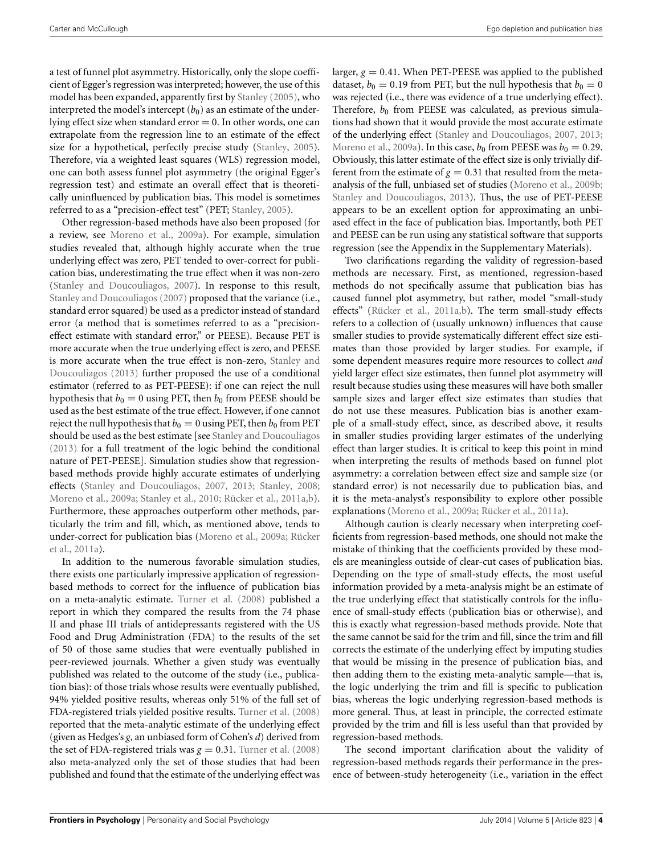a test of funnel plot asymmetry. Historically, only the slope coefficient of Egger's regression was interpreted; however, the use of this model has been expanded, apparently first by [Stanley](#page-9-14) [\(2005\)](#page-9-14), who interpreted the model's intercept  $(b_0)$  as an estimate of the underlying effect size when standard  $error = 0$ . In other words, one can extrapolate from the regression line to an estimate of the effect size for a hypothetical, perfectly precise study [\(Stanley, 2005\)](#page-9-14). Therefore, via a weighted least squares (WLS) regression model, one can both assess funnel plot asymmetry (the original Egger's regression test) and estimate an overall effect that is theoretically uninfluenced by publication bias. This model is sometimes referred to as a "precision-effect test" (PET; [Stanley, 2005\)](#page-9-14).

Other regression-based methods have also been proposed (for a review, see [Moreno et al., 2009a\)](#page-9-11). For example, simulation studies revealed that, although highly accurate when the true underlying effect was zero, PET tended to over-correct for publication bias, underestimating the true effect when it was non-zero [\(Stanley and Doucouliagos](#page-9-34), [2007\)](#page-9-34). In response to this result, [Stanley and Doucouliagos](#page-9-34) [\(2007](#page-9-34)) proposed that the variance (i.e., standard error squared) be used as a predictor instead of standard error (a method that is sometimes referred to as a "precisioneffect estimate with standard error," or PEESE). Because PET is more accurate when the true underlying effect is zero, and PEESE is more accu[rate when the true effect is non-zero,](#page-9-13) Stanley and Doucouliagos [\(2013\)](#page-9-13) further proposed the use of a conditional estimator (referred to as PET-PEESE): if one can reject the null hypothesis that  $b_0 = 0$  using PET, then  $b_0$  from PEESE should be used as the best estimate of the true effect. However, if one cannot reject the null hypothesis that  $b_0 = 0$  using PET, then  $b_0$  from PET should be used as the best estimate [see [Stanley and Doucouliagos](#page-9-13) [\(2013\)](#page-9-13) for a full treatment of the logic behind the conditional nature of PET-PEESE]. Simulation studies show that regressionbased methods provide highly accurate estimates of underlying effects [\(Stanley and Doucouliagos](#page-9-34), [2007](#page-9-34), [2013](#page-9-13); [Stanley](#page-9-10), [2008;](#page-9-10) [Moreno et al.](#page-9-11), [2009a;](#page-9-11) [Stanley et al., 2010;](#page-9-35) [Rücker et al., 2011a](#page-9-19)[,b\)](#page-9-20). Furthermore, these approaches outperform other methods, particularly the trim and fill, which, as mentioned above, tends to und[er-correct for publication bias](#page-9-19) [\(Moreno et al.](#page-9-11)[,](#page-9-19) [2009a](#page-9-11)[;](#page-9-19) Rücker et al., [2011a\)](#page-9-19).

In addition to the numerous favorable simulation studies, there exists one particularly impressive application of regressionbased methods to correct for the influence of publication bias on a meta-analytic estimate. [Turner et al.](#page-10-2) [\(2008](#page-10-2)) published a report in which they compared the results from the 74 phase II and phase III trials of antidepressants registered with the US Food and Drug Administration (FDA) to the results of the set of 50 of those same studies that were eventually published in peer-reviewed journals. Whether a given study was eventually published was related to the outcome of the study (i.e., publication bias): of those trials whose results were eventually published, 94% yielded positive results, whereas only 51% of the full set of FDA-registered trials yielded positive results. [Turner et al.](#page-10-2) [\(2008](#page-10-2)) reported that the meta-analytic estimate of the underlying effect (given as Hedges's *g*, an unbiased form of Cohen's *d*) derived from the set of FDA-registered trials was  $g = 0.31$ . [Turner et al.](#page-10-2) [\(2008](#page-10-2)) also meta-analyzed only the set of those studies that had been published and found that the estimate of the underlying effect was

larger,  $g = 0.41$ . When PET-PEESE was applied to the published dataset,  $b_0 = 0.19$  from PET, but the null hypothesis that  $b_0 = 0$ was rejected (i.e., there was evidence of a true underlying effect). Therefore,  $b_0$  from PEESE was calculated, as previous simulations had shown that it would provide the most accurate estimate of the underlying effect [\(Stanley and Doucouliagos](#page-9-34), [2007,](#page-9-34) [2013](#page-9-13); [Moreno et al., 2009a](#page-9-11)). In this case,  $b_0$  from PEESE was  $b_0 = 0.29$ . Obviously, this latter estimate of the effect size is only trivially different from the estimate of  $g = 0.31$  that resulted from the metaanalysis of the full, unbiased set of studies [\(Moreno et al., 2009b](#page-9-16); [Stanley and Doucouliagos](#page-9-13), [2013](#page-9-13)). Thus, the use of PET-PEESE appears to be an excellent option for approximating an unbiased effect in the face of publication bias. Importantly, both PET and PEESE can be run using any statistical software that supports regression (see the Appendix in the Supplementary Materials).

Two clarifications regarding the validity of regression-based methods are necessary. First, as mentioned, regression-based methods do not specifically assume that publication bias has caused funnel plot asymmetry, but rather, model "small-study effects" [\(Rücker et al., 2011a](#page-9-19)[,b\)](#page-9-20). The term small-study effects refers to a collection of (usually unknown) influences that cause smaller studies to provide systematically different effect size estimates than those provided by larger studies. For example, if some dependent measures require more resources to collect *and* yield larger effect size estimates, then funnel plot asymmetry will result because studies using these measures will have both smaller sample sizes and larger effect size estimates than studies that do not use these measures. Publication bias is another example of a small-study effect, since, as described above, it results in smaller studies providing larger estimates of the underlying effect than larger studies. It is critical to keep this point in mind when interpreting the results of methods based on funnel plot asymmetry: a correlation between effect size and sample size (or standard error) is not necessarily due to publication bias, and it is the meta-analyst's responsibility to explore other possible explanations [\(Moreno et al., 2009a;](#page-9-11) [Rücker et al., 2011a\)](#page-9-19).

Although caution is clearly necessary when interpreting coefficients from regression-based methods, one should not make the mistake of thinking that the coefficients provided by these models are meaningless outside of clear-cut cases of publication bias. Depending on the type of small-study effects, the most useful information provided by a meta-analysis might be an estimate of the true underlying effect that statistically controls for the influence of small-study effects (publication bias or otherwise), and this is exactly what regression-based methods provide. Note that the same cannot be said for the trim and fill, since the trim and fill corrects the estimate of the underlying effect by imputing studies that would be missing in the presence of publication bias, and then adding them to the existing meta-analytic sample—that is, the logic underlying the trim and fill is specific to publication bias, whereas the logic underlying regression-based methods is more general. Thus, at least in principle, the corrected estimate provided by the trim and fill is less useful than that provided by regression-based methods.

The second important clarification about the validity of regression-based methods regards their performance in the presence of between-study heterogeneity (i.e., variation in the effect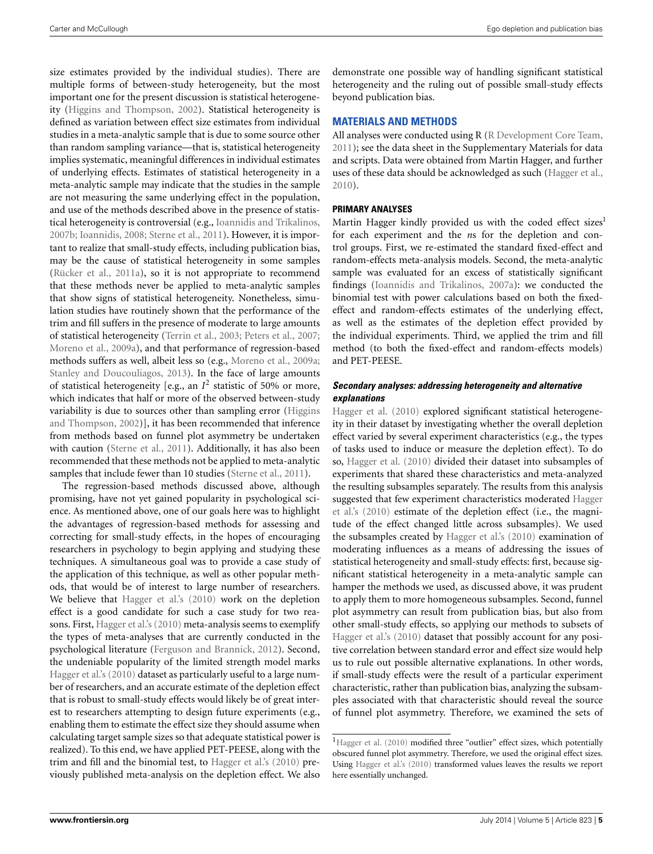size estimates provided by the individual studies). There are multiple forms of between-study heterogeneity, but the most important one for the present discussion is statistical heterogeneity [\(Higgins and Thompson](#page-9-36), [2002\)](#page-9-36). Statistical heterogeneity is defined as variation between effect size estimates from individual studies in a meta-analytic sample that is due to some source other than random sampling variance—that is, statistical heterogeneity implies systematic, meaningful differences in individual estimates of underlying effects. Estimates of statistical heterogeneity in a meta-analytic sample may indicate that the studies in the sample are not measuring the same underlying effect in the population, and use of the methods described above in the presence of statistical heterogeneity is controversial (e.g., [Ioannidis and Trikalinos,](#page-9-37) [2007b](#page-9-37); [Ioannidis, 2008;](#page-9-30) [Sterne et al.](#page-9-38), [2011](#page-9-38)). However, it is important to realize that small-study effects, including publication bias, may be the cause of statistical heterogeneity in some samples [\(Rücker et al.](#page-9-19), [2011a\)](#page-9-19), so it is not appropriate to recommend that these methods never be applied to meta-analytic samples that show signs of statistical heterogeneity. Nonetheless, simulation studies have routinely shown that the performance of the trim and fill suffers in the presence of moderate to large amounts of statistical heterogeneity [\(Terrin et al.](#page-10-1), [2003](#page-10-1); [Peters et al.](#page-9-33), [2007;](#page-9-33) [Moreno et al., 2009a\)](#page-9-11), and that performance of regression-based methods suffers as well, albeit less so (e.g., [Moreno et al.](#page-9-11), [2009a;](#page-9-11) [Stanley and Doucouliagos, 2013\)](#page-9-13). In the face of large amounts of statistical heterogeneity [e.g., an *I*<sup>2</sup> statistic of 50% or more, which indicates that half or more of the observed between-study variability is d[ue](#page-9-36) [to](#page-9-36) [sources](#page-9-36) [other](#page-9-36) [than](#page-9-36) [sampling](#page-9-36) [error](#page-9-36) [\(](#page-9-36)Higgins and Thompson, [2002\)](#page-9-36)], it has been recommended that inference from methods based on funnel plot asymmetry be undertaken with caution [\(Sterne et al., 2011\)](#page-9-38). Additionally, it has also been recommended that these methods not be applied to meta-analytic samples that include fewer than 10 studies [\(Sterne et al., 2011\)](#page-9-38).

The regression-based methods discussed above, although promising, have not yet gained popularity in psychological science. As mentioned above, one of our goals here was to highlight the advantages of regression-based methods for assessing and correcting for small-study effects, in the hopes of encouraging researchers in psychology to begin applying and studying these techniques. A simultaneous goal was to provide a case study of the application of this technique, as well as other popular methods, that would be of interest to large number of researchers. We believe that [Hagger et al.'s](#page-9-4) [\(2010\)](#page-9-4) work on the depletion effect is a good candidate for such a case study for two reasons. First, [Hagger et al.'s](#page-9-4) [\(2010](#page-9-4)) meta-analysis seems to exemplify the types of meta-analyses that are currently conducted in the psychological literature [\(Ferguson and Brannick](#page-8-6), [2012](#page-8-6)). Second, the undeniable popularity of the limited strength model marks [Hagger et al.'s](#page-9-4) [\(2010](#page-9-4)) dataset as particularly useful to a large number of researchers, and an accurate estimate of the depletion effect that is robust to small-study effects would likely be of great interest to researchers attempting to design future experiments (e.g., enabling them to estimate the effect size they should assume when calculating target sample sizes so that adequate statistical power is realized). To this end, we have applied PET-PEESE, along with the trim and fill and the binomial test, to [Hagger et al.'s](#page-9-4) [\(2010\)](#page-9-4) previously published meta-analysis on the depletion effect. We also

demonstrate one possible way of handling significant statistical heterogeneity and the ruling out of possible small-study effects beyond publication bias.

# **MATERIALS AND METHODS**

All analyses were conducted using R [\(R Development Core Team,](#page-9-39) [2011](#page-9-39)); see the data sheet in the Supplementary Materials for data and scripts. Data were obtained from Martin Hagger, and further uses of these data should be acknowledged as such [\(Hagger et al.,](#page-9-4) [2010](#page-9-4)).

## **PRIMARY ANALYSES**

<span id="page-4-0"></span>Martin Hagger kindly provided us with the coded effect sizes<sup>1</sup> for each experiment and the *n*s for the depletion and control groups. First, we re-estimated the standard fixed-effect and random-effects meta-analysis models. Second, the meta-analytic sample was evaluated for an excess of statistically significant findings [\(Ioannidis and Trikalinos](#page-9-9), [2007a](#page-9-9)): we conducted the binomial test with power calculations based on both the fixedeffect and random-effects estimates of the underlying effect, as well as the estimates of the depletion effect provided by the individual experiments. Third, we applied the trim and fill method (to both the fixed-effect and random-effects models) and PET-PEESE.

### *Secondary analyses: addressing heterogeneity and alternative [explanations](#page-9-4)*

Hagger et al. [\(2010\)](#page-9-4) explored significant statistical heterogeneity in their dataset by investigating whether the overall depletion effect varied by several experiment characteristics (e.g., the types of tasks used to induce or measure the depletion effect). To do so, [Hagger et al.](#page-9-4) [\(2010\)](#page-9-4) divided their dataset into subsamples of experiments that shared these characteristics and meta-analyzed the resulting subsamples separately. The results from this analysis sugge[sted that few experiment characteristics moderated](#page-9-4) Hagger et al.'s [\(2010](#page-9-4)) estimate of the depletion effect (i.e., the magnitude of the effect changed little across subsamples). We used the subsamples created by [Hagger et al.'s](#page-9-4) [\(2010\)](#page-9-4) examination of moderating influences as a means of addressing the issues of statistical heterogeneity and small-study effects: first, because significant statistical heterogeneity in a meta-analytic sample can hamper the methods we used, as discussed above, it was prudent to apply them to more homogeneous subsamples. Second, funnel plot asymmetry can result from publication bias, but also from other small-study effects, so applying our methods to subsets of [Hagger et al.'s](#page-9-4) [\(2010\)](#page-9-4) dataset that possibly account for any positive correlation between standard error and effect size would help us to rule out possible alternative explanations. In other words, if small-study effects were the result of a particular experiment characteristic, rather than publication bias, analyzing the subsamples associated with that characteristic should reveal the source of funnel plot asymmetry. Therefore, we examined the sets of

<sup>&</sup>lt;sup>1</sup>Hagger et al. [\(2010\)](#page-9-4) modified three "outlier" effect sizes, which potentially obscured funnel plot asymmetry. Therefore, we used the original effect sizes. Using [Hagger et al.'s](#page-9-4) [\(2010\)](#page-9-4) transformed values leaves the results we report here essentially unchanged.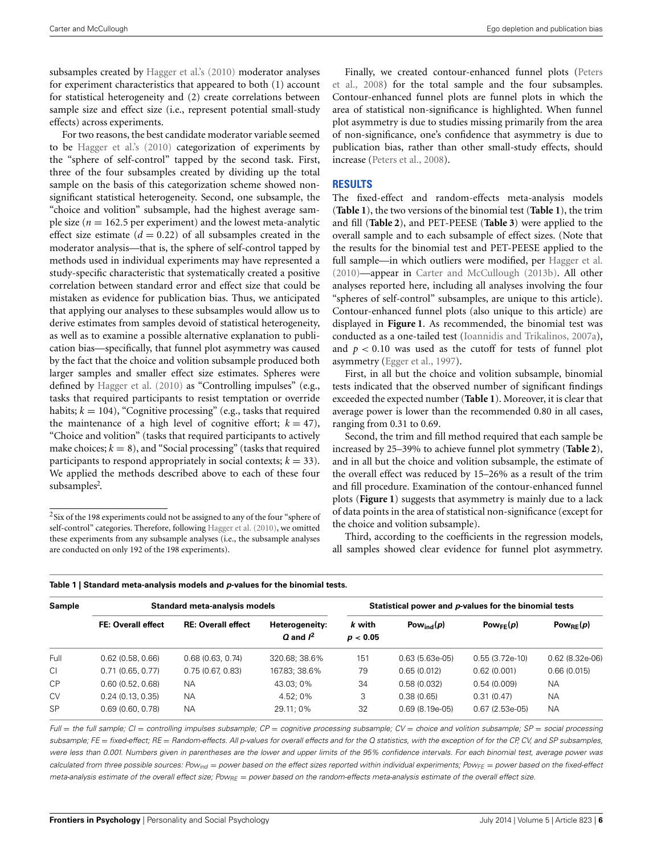subsamples created by [Hagger et al.'s](#page-9-4) [\(2010](#page-9-4)) moderator analyses for experiment characteristics that appeared to both (1) account for statistical heterogeneity and (2) create correlations between sample size and effect size (i.e., represent potential small-study effects) across experiments.

For two reasons, the best candidate moderator variable seemed to be [Hagger et al.'s](#page-9-4) [\(2010](#page-9-4)) categorization of experiments by the "sphere of self-control" tapped by the second task. First, three of the four subsamples created by dividing up the total sample on the basis of this categorization scheme showed nonsignificant statistical heterogeneity. Second, one subsample, the "choice and volition" subsample, had the highest average sample size ( $n = 162.5$  per experiment) and the lowest meta-analytic effect size estimate  $(d = 0.22)$  of all subsamples created in the moderator analysis—that is, the sphere of self-control tapped by methods used in individual experiments may have represented a study-specific characteristic that systematically created a positive correlation between standard error and effect size that could be mistaken as evidence for publication bias. Thus, we anticipated that applying our analyses to these subsamples would allow us to derive estimates from samples devoid of statistical heterogeneity, as well as to examine a possible alternative explanation to publication bias—specifically, that funnel plot asymmetry was caused by the fact that the choice and volition subsample produced both larger samples and smaller effect size estimates. Spheres were defined by [Hagger et al.](#page-9-4) [\(2010](#page-9-4)) as "Controlling impulses" (e.g., tasks that required participants to resist temptation or override habits;  $k = 104$ ), "Cognitive processing" (e.g., tasks that required the maintenance of a high level of cognitive effort;  $k = 47$ ), "Choice and volition" (tasks that required participants to actively make choices;  $k = 8$ ), and "Social processing" (tasks that required participants to respond appropriately in social contexts;  $k = 33$ ). We applied the methods described above to each of these four subsamples<sup>2</sup>.

Fi[nally, we created contour-enhanced funnel plots \(](#page-9-40)Peters et al., [2008\)](#page-9-40) for the total sample and the four subsamples. Contour-enhanced funnel plots are funnel plots in which the area of statistical non-significance is highlighted. When funnel plot asymmetry is due to studies missing primarily from the area of non-significance, one's confidence that asymmetry is due to publication bias, rather than other small-study effects, should increase [\(Peters et al.](#page-9-40), [2008\)](#page-9-40).

# **RESULTS**

The fixed-effect and random-effects meta-analysis models (**[Table 1](#page-5-1)**), the two versions of the binomial test (**[Table 1](#page-5-1)**), the trim and fill (**[Table 2](#page-6-0)**), and PET-PEESE (**[Table 3](#page-6-1)**) were applied to the overall sample and to each subsample of effect sizes. (Note that the results for the binomial test and PET-PEESE applied to the full sample—in which outliers were modified, per [Hagger et al.](#page-9-4) [\(2010\)](#page-9-4)—appear in [Carter and McCullough](#page-8-11) [\(2013b\)](#page-8-11). All other analyses reported here, including all analyses involving the four "spheres of self-control" subsamples, are unique to this article). Contour-enhanced funnel plots (also unique to this article) are displayed in **[Figure 1](#page-6-2)**. As recommended, the binomial test was conducted as a one-tailed test [\(Ioannidis and Trikalinos, 2007a\)](#page-9-9), and  $p < 0.10$  was used as the cutoff for tests of funnel plot asymmetry [\(Egger et al., 1997\)](#page-8-10).

First, in all but the choice and volition subsample, binomial tests indicated that the observed number of significant findings exceeded the expected number (**[Table 1](#page-5-1)**). Moreover, it is clear that average power is lower than the recommended 0.80 in all cases, ranging from 0.31 to 0.69.

Second, the trim and fill method required that each sample be increased by 25–39% to achieve funnel plot symmetry (**[Table 2](#page-6-0)**), and in all but the choice and volition subsample, the estimate of the overall effect was reduced by 15–26% as a result of the trim and fill procedure. Examination of the contour-enhanced funnel plots (**[Figure 1](#page-6-2)**) suggests that asymmetry is mainly due to a lack of data points in the area of statistical non-significance (except for the choice and volition subsample).

Third, according to the coefficients in the regression models, all samples showed clear evidence for funnel plot asymmetry.

| <b>Sample</b> | Standard meta-analysis models |                           |                                 | Statistical power and p-values for the binomial tests |                          |                  |                  |
|---------------|-------------------------------|---------------------------|---------------------------------|-------------------------------------------------------|--------------------------|------------------|------------------|
|               | <b>FE: Overall effect</b>     | <b>RE: Overall effect</b> | Heterogeneity:<br>$Q$ and $I^2$ | k with<br>p < 0.05                                    | Pow <sub>ind</sub> $(p)$ | Power(p)         | $Power_{RF}(p)$  |
| Full          | $0.62$ $(0.58, 0.66)$         | 0.68(0.63, 0.74)          | 320.68; 38.6%                   | 151                                                   | $0.63(5.63e-05)$         | $0.55(3.72e-10)$ | $0.62(8.32e-06)$ |
| <b>CI</b>     | 0.71(0.65, 0.77)              | 0.75(0.67, 0.83)          | 167.83; 38.6%                   | 79                                                    | 0.65(0.012)              | 0.62(0.001)      | 0.66(0.015)      |
| CP            | 0.60(0.52, 0.68)              | <b>NA</b>                 | 43.03; 0%                       | 34                                                    | 0.58(0.032)              | 0.54(0.009)      | <b>NA</b>        |
| CV            | 0.24(0.13, 0.35)              | <b>NA</b>                 | 4.52; 0%                        | 3                                                     | 0.38(0.65)               | 0.31(0.47)       | <b>NA</b>        |
| <b>SP</b>     | 0.69(0.60, 0.78)              | <b>NA</b>                 | 29.11:0%                        | 32                                                    | $0.69(8.19e-05)$         | $0.67(2.53e-05)$ | <b>NA</b>        |

<span id="page-5-1"></span>

|  | Table 1 Standard meta-analysis models and p-values for the binomial tests. |  |  |  |
|--|----------------------------------------------------------------------------|--|--|--|
|--|----------------------------------------------------------------------------|--|--|--|

*Full* = *the full sample; CI* = *controlling impulses subsample; CP* = *cognitive processing subsample; CV* = *choice and volition subsample; SP* = *social processing subsample; FE* = *fixed-effect; RE* = *Random-effects. All p-values for overall effects and for the Q statistics, with the exception of for the CP, CV, and SP subsamples, were less than 0.001. Numbers given in parentheses are the lower and upper limits of the 95% confidence intervals. For each binomial test, average power was calculated from three possible sources: Pow<sub>ind</sub> = power based on the effect sizes reported within individual experiments; Pow<sub>FF</sub> = power based on the fixed-effect meta-analysis estimate of the overall effect size; PowRE* = *power based on the random-effects meta-analysis estimate of the overall effect size.*

<span id="page-5-0"></span> $^2\mathrm{Six}$  of the 198 experiments could not be assigned to any of the four "sphere of self-control" categories. Therefore, following [Hagger et al.](#page-9-4) [\(2010](#page-9-4)), we omitted these experiments from any subsample analyses (i.e., the subsample analyses are conducted on only 192 of the 198 experiments).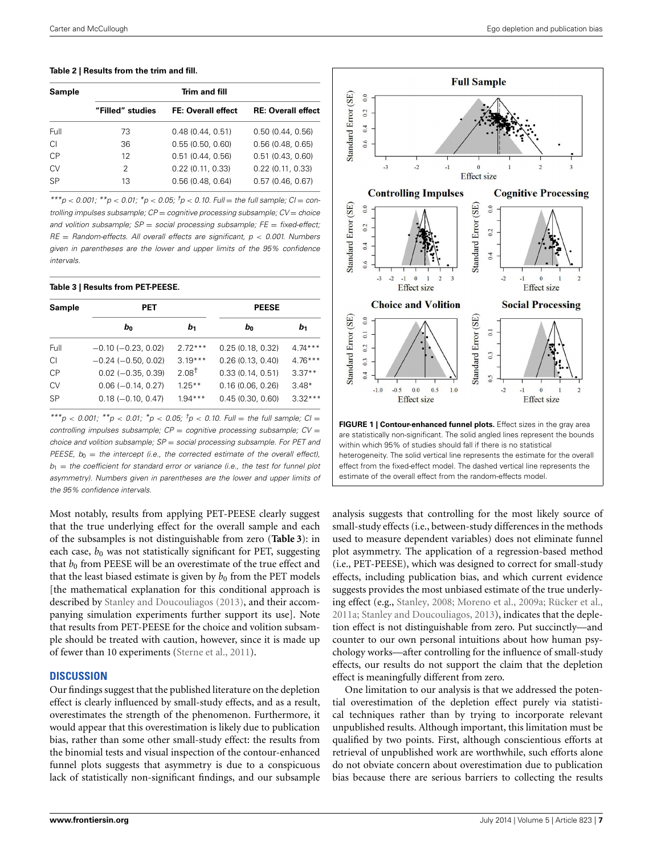#### <span id="page-6-0"></span>**Table 2 | Results from the trim and fill.**

| <b>Sample</b> | Trim and fill    |                           |                           |  |  |  |
|---------------|------------------|---------------------------|---------------------------|--|--|--|
|               | "Filled" studies | <b>FE: Overall effect</b> | <b>RE: Overall effect</b> |  |  |  |
| Full          | 73               | 0.48(0.44, 0.51)          | 0.50(0.44, 0.56)          |  |  |  |
| <sub>CI</sub> | 36               | 0.55(0.50, 0.60)          | 0.56(0.48, 0.65)          |  |  |  |
| CP            | 12               | 0.51(0.44, 0.56)          | $0.51$ $(0.43, 0.60)$     |  |  |  |
| <b>CV</b>     | 2                | 0.22(0.11, 0.33)          | $0.22$ $(0.11, 0.33)$     |  |  |  |
| <b>SP</b>     | 13               | 0.56(0.48, 0.64)          | 0.57(0.46, 0.67)          |  |  |  |

 $*^{**}p$  < 0.001;  $*^{*}p$  < 0.01;  $*^{*}p$  < 0.05;  $^{\dagger}p$  < 0.10. Full = the full sample; CI = con*trolling impulses subsample; CP* = *cognitive processing subsample; CV* = *choice and volition subsample; SP* = *social processing subsample; FE* = *fixed-effect; RE* = *Random-effects. All overall effects are significant, p < 0.001. Numbers given in parentheses are the lower and upper limits of the 95% confidence intervals.*

#### <span id="page-6-1"></span>**Table 3 | Results from PET-PEESE.**

| <b>Sample</b> | PET                       | <b>PEESE</b> |                  |           |
|---------------|---------------------------|--------------|------------------|-----------|
|               | $b_0$                     | b1           | $b_0$            | b1        |
| Full          | $-0.10$ ( $-0.23$ , 0.02) | $2.72***$    | 0.25(0.18, 0.32) | $4.74***$ |
| CI.           | $-0.24$ ( $-0.50$ , 0.02) | $3.19***$    | 0.26(0.13, 0.40) | $4.76***$ |
| СP            | $0.02$ (-0.35, 0.39)      | $2.08^+$     | 0.33(0.14, 0.51) | $3.37**$  |
| CV            | $0.06 (-0.14, 0.27)$      | $1.25**$     | 0.16(0.06, 0.26) | $3.48*$   |
| <b>SP</b>     | $0.18 (-0.10, 0.47)$      | $1.94***$    | 0.45(0.30, 0.60) | $3.32***$ |

*\*\*\*p <sup>&</sup>lt; 0.001; \*\*p <sup>&</sup>lt; 0.01; \*p <sup>&</sup>lt; 0.05; †p <sup>&</sup>lt; 0.10. Full* <sup>=</sup> *the full sample; CI* <sup>=</sup> *controlling impulses subsample; CP* = *cognitive processing subsample; CV* = *choice and volition subsample; SP* = *social processing subsample. For PET and PEESE,*  $b_0 =$  *the intercept (i.e., the corrected estimate of the overall effect),*  $b_1$  = the coefficient for standard error or variance (i.e., the test for funnel plot *asymmetry). Numbers given in parentheses are the lower and upper limits of the 95% confidence intervals.*

Most notably, results from applying PET-PEESE clearly suggest that the true underlying effect for the overall sample and each of the subsamples is not distinguishable from zero (**[Table 3](#page-6-1)**): in each case,  $b_0$  was not statistically significant for PET, suggesting that  $b_0$  from PEESE will be an overestimate of the true effect and that the least biased estimate is given by  $b_0$  from the PET models [the mathematical explanation for this conditional approach is described by [Stanley and Doucouliagos](#page-9-13) [\(2013\)](#page-9-13), and their accompanying simulation experiments further support its use]. Note that results from PET-PEESE for the choice and volition subsample should be treated with caution, however, since it is made up of fewer than 10 experiments [\(Sterne et al.](#page-9-38), [2011](#page-9-38)).

#### **DISCUSSION**

Our findings suggest that the published literature on the depletion effect is clearly influenced by small-study effects, and as a result, overestimates the strength of the phenomenon. Furthermore, it would appear that this overestimation is likely due to publication bias, rather than some other small-study effect: the results from the binomial tests and visual inspection of the contour-enhanced funnel plots suggests that asymmetry is due to a conspicuous lack of statistically non-significant findings, and our subsample





<span id="page-6-2"></span>analysis suggests that controlling for the most likely source of small-study effects (i.e., between-study differences in the methods used to measure dependent variables) does not eliminate funnel plot asymmetry. The application of a regression-based method (i.e., PET-PEESE), which was designed to correct for small-study effects, including publication bias, and which current evidence suggests provides the most unbiased estimate of the true underlying effect (e.g., [Stanley](#page-9-10), [2008](#page-9-10); [Moreno et al.](#page-9-11), [2009a](#page-9-11); [Rücker et al.,](#page-9-19) [2011a;](#page-9-19) [Stanley and Doucouliagos](#page-9-13), [2013](#page-9-13)), indicates that the depletion effect is not distinguishable from zero. Put succinctly—and counter to our own personal intuitions about how human psychology works—after controlling for the influence of small-study effects, our results do not support the claim that the depletion effect is meaningfully different from zero.

One limitation to our analysis is that we addressed the potential overestimation of the depletion effect purely via statistical techniques rather than by trying to incorporate relevant unpublished results. Although important, this limitation must be qualified by two points. First, although conscientious efforts at retrieval of unpublished work are worthwhile, such efforts alone do not obviate concern about overestimation due to publication bias because there are serious barriers to collecting the results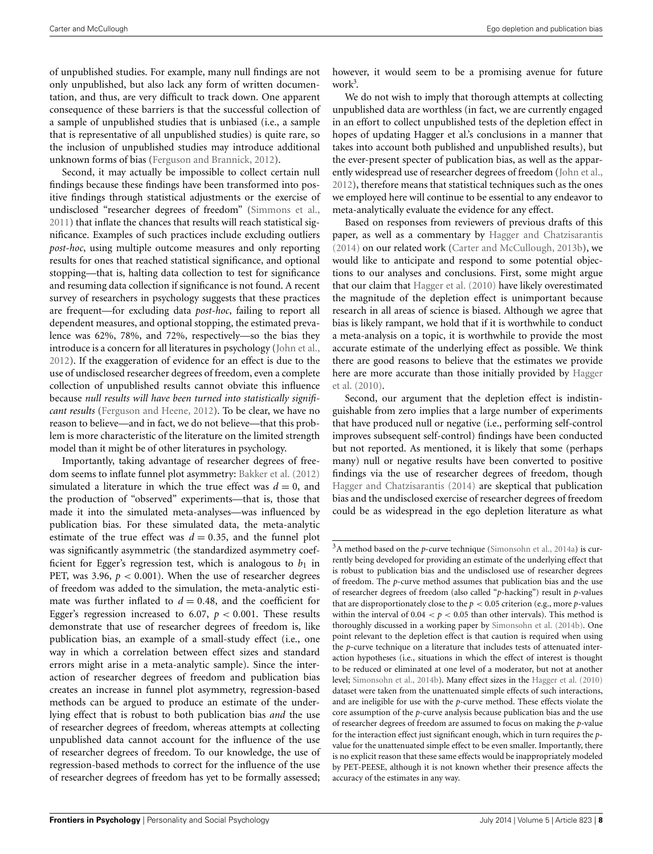of unpublished studies. For example, many null findings are not only unpublished, but also lack any form of written documentation, and thus, are very difficult to track down. One apparent consequence of these barriers is that the successful collection of a sample of unpublished studies that is unbiased (i.e., a sample that is representative of all unpublished studies) is quite rare, so the inclusion of unpublished studies may introduce additional unknown forms of bias [\(Ferguson and Brannick, 2012](#page-8-6)).

Second, it may actually be impossible to collect certain null findings because these findings have been transformed into positive findings through statistical adjustments or the exercise of undisclosed "researcher degrees of freedom" [\(Simmons et al.](#page-9-41), [2011](#page-9-41)) that inflate the chances that results will reach statistical significance. Examples of such practices include excluding outliers *post-hoc*, using multiple outcome measures and only reporting results for ones that reached statistical significance, and optional stopping—that is, halting data collection to test for significance and resuming data collection if significance is not found. A recent survey of researchers in psychology suggests that these practices are frequent—for excluding data *post-hoc*, failing to report all dependent measures, and optional stopping, the estimated prevalence was 62%, 78%, and 72%, respectively—so the bias they introduce is a concern for all literatures in psychology [\(John et al.](#page-9-42), [2012](#page-9-42)). If the exaggeration of evidence for an effect is due to the use of undisclosed researcher degrees of freedom, even a complete collection of unpublished results cannot obviate this influence because *null results will have been turned into statistically significant results* [\(Ferguson and Heene, 2012\)](#page-9-23). To be clear, we have no reason to believe—and in fact, we do not believe—that this problem is more characteristic of the literature on the limited strength model than it might be of other literatures in psychology.

Importantly, taking advantage of researcher degrees of freedom seems to inflate funnel plot asymmetry: [Bakker et al.](#page-8-5) [\(2012](#page-8-5)) simulated a literature in which the true effect was  $d = 0$ , and the production of "observed" experiments—that is, those that made it into the simulated meta-analyses—was influenced by publication bias. For these simulated data, the meta-analytic estimate of the true effect was  $d = 0.35$ , and the funnel plot was significantly asymmetric (the standardized asymmetry coefficient for Egger's regression test, which is analogous to  $b_1$  in PET, was 3.96,  $p < 0.001$ ). When the use of researcher degrees of freedom was added to the simulation, the meta-analytic estimate was further inflated to  $d = 0.48$ , and the coefficient for Egger's regression increased to 6.07,  $p < 0.001$ . These results demonstrate that use of researcher degrees of freedom is, like publication bias, an example of a small-study effect (i.e., one way in which a correlation between effect sizes and standard errors might arise in a meta-analytic sample). Since the interaction of researcher degrees of freedom and publication bias creates an increase in funnel plot asymmetry, regression-based methods can be argued to produce an estimate of the underlying effect that is robust to both publication bias *and* the use of researcher degrees of freedom, whereas attempts at collecting unpublished data cannot account for the influence of the use of researcher degrees of freedom. To our knowledge, the use of regression-based methods to correct for the influence of the use of researcher degrees of freedom has yet to be formally assessed; <span id="page-7-0"></span>however, it would seem to be a promising avenue for future work<sup>3</sup>.

We do not wish to imply that thorough attempts at collecting unpublished data are worthless (in fact, we are currently engaged in an effort to collect unpublished tests of the depletion effect in hopes of updating Hagger et al.'s conclusions in a manner that takes into account both published and unpublished results), but the ever-present specter of publication bias, as well as the apparently widespread use of researcher degrees of freedom [\(John et al.](#page-9-42), [2012](#page-9-42)), therefore means that statistical techniques such as the ones we employed here will continue to be essential to any endeavor to meta-analytically evaluate the evidence for any effect.

Based on responses from reviewers of previous drafts of this paper, as well as a commentary by [Hagger and Chatzisarantis](#page-9-12) [\(2014\)](#page-9-12) on our related work [\(Carter and McCullough](#page-8-11), [2013b](#page-8-11)), we would like to anticipate and respond to some potential objections to our analyses and conclusions. First, some might argue that our claim that [Hagger et al.](#page-9-4) [\(2010\)](#page-9-4) have likely overestimated the magnitude of the depletion effect is unimportant because research in all areas of science is biased. Although we agree that bias is likely rampant, we hold that if it is worthwhile to conduct a meta-analysis on a topic, it is worthwhile to provide the most accurate estimate of the underlying effect as possible. We think there are good reasons to believe that the estimates we provide here [are more accurate than those initially provided by](#page-9-4) Hagger et al. [\(2010](#page-9-4)).

Second, our argument that the depletion effect is indistinguishable from zero implies that a large number of experiments that have produced null or negative (i.e., performing self-control improves subsequent self-control) findings have been conducted but not reported. As mentioned, it is likely that some (perhaps many) null or negative results have been converted to positive findings via the use of researcher degrees of freedom, though [Hagger and Chatzisarantis](#page-9-12) [\(2014](#page-9-12)) are skeptical that publication bias and the undisclosed exercise of researcher degrees of freedom could be as widespread in the ego depletion literature as what

<sup>&</sup>lt;sup>3</sup>A method based on the *p*-curve technique [\(Simonsohn et al.](#page-9-43), [2014a](#page-9-43)) is currently being developed for providing an estimate of the underlying effect that is robust to publication bias and the undisclosed use of researcher degrees of freedom. The *p*-curve method assumes that publication bias and the use of researcher degrees of freedom (also called "*p*-hacking") result in *p*-values that are disproportionately close to the  $p < 0.05$  criterion (e.g., more *p*-values within the interval of  $0.04 < p < 0.05$  than other intervals). This method is thoroughly discussed in a working paper by [Simonsohn et al.](#page-9-44) [\(2014b\)](#page-9-44). One point relevant to the depletion effect is that caution is required when using the *p*-curve technique on a literature that includes tests of attenuated interaction hypotheses (i.e., situations in which the effect of interest is thought to be reduced or eliminated at one level of a moderator, but not at another level; [Simonsohn et al.](#page-9-44), [2014b\)](#page-9-44). Many effect sizes in the [Hagger et al.](#page-9-4) [\(2010\)](#page-9-4) dataset were taken from the unattenuated simple effects of such interactions, and are ineligible for use with the *p*-curve method. These effects violate the core assumption of the *p*-curve analysis because publication bias and the use of researcher degrees of freedom are assumed to focus on making the *p*-value for the interaction effect just significant enough, which in turn requires the *p*value for the unattenuated simple effect to be even smaller. Importantly, there is no explicit reason that these same effects would be inappropriately modeled by PET-PEESE, although it is not known whether their presence affects the accuracy of the estimates in any way.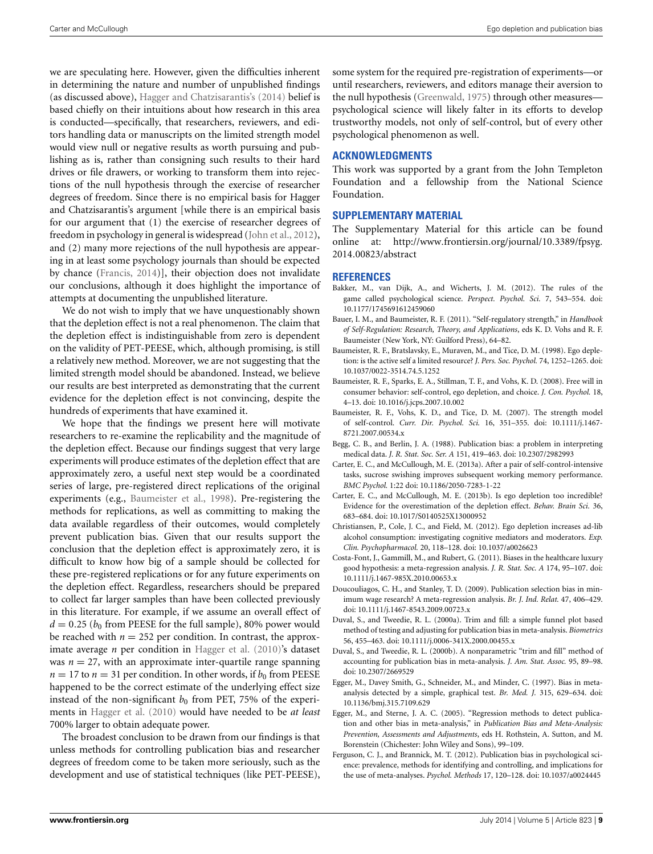we are speculating here. However, given the difficulties inherent in determining the nature and number of unpublished findings (as discussed above), [Hagger and Chatzisarantis's](#page-9-12) [\(2014\)](#page-9-12) belief is based chiefly on their intuitions about how research in this area is conducted—specifically, that researchers, reviewers, and editors handling data or manuscripts on the limited strength model would view null or negative results as worth pursuing and publishing as is, rather than consigning such results to their hard drives or file drawers, or working to transform them into rejections of the null hypothesis through the exercise of researcher degrees of freedom. Since there is no empirical basis for Hagger and Chatzisarantis's argument [while there is an empirical basis for our argument that (1) the exercise of researcher degrees of freedom in psychology in general is widespread [\(John et al., 2012](#page-9-42)), and (2) many more rejections of the null hypothesis are appearing in at least some psychology journals than should be expected by chance [\(Francis, 2014](#page-9-29))], their objection does not invalidate our conclusions, although it does highlight the importance of attempts at documenting the unpublished literature.

We do not wish to imply that we have unquestionably shown that the depletion effect is not a real phenomenon. The claim that the depletion effect is indistinguishable from zero is dependent on the validity of PET-PEESE, which, although promising, is still a relatively new method. Moreover, we are not suggesting that the limited strength model should be abandoned. Instead, we believe our results are best interpreted as demonstrating that the current evidence for the depletion effect is not convincing, despite the hundreds of experiments that have examined it.

We hope that the findings we present here will motivate researchers to re-examine the replicability and the magnitude of the depletion effect. Because our findings suggest that very large experiments will produce estimates of the depletion effect that are approximately zero, a useful next step would be a coordinated series of large, pre-registered direct replications of the original experiments (e.g., [Baumeister et al.](#page-8-4), [1998\)](#page-8-4). Pre-registering the methods for replications, as well as committing to making the data available regardless of their outcomes, would completely prevent publication bias. Given that our results support the conclusion that the depletion effect is approximately zero, it is difficult to know how big of a sample should be collected for these pre-registered replications or for any future experiments on the depletion effect. Regardless, researchers should be prepared to collect far larger samples than have been collected previously in this literature. For example, if we assume an overall effect of  $d = 0.25$  ( $b_0$  from PEESE for the full sample), 80% power would be reached with  $n = 252$  per condition. In contrast, the approximate average *n* per condition in [Hagger et al.](#page-9-4) [\(2010](#page-9-4))'s dataset was  $n = 27$ , with an approximate inter-quartile range spanning  $n = 17$  to  $n = 31$  per condition. In other words, if  $b<sub>0</sub>$  from PEESE happened to be the correct estimate of the underlying effect size instead of the non-significant  $b_0$  from PET, 75% of the experiments in [Hagger et al.](#page-9-4) [\(2010](#page-9-4)) would have needed to be *at least* 700% larger to obtain adequate power.

The broadest conclusion to be drawn from our findings is that unless methods for controlling publication bias and researcher degrees of freedom come to be taken more seriously, such as the development and use of statistical techniques (like PET-PEESE), some system for the required pre-registration of experiments—or until researchers, reviewers, and editors manage their aversion to the null hypothesis [\(Greenwald](#page-9-45), [1975](#page-9-45)) through other measures psychological science will likely falter in its efforts to develop trustworthy models, not only of self-control, but of every other psychological phenomenon as well.

### **ACKNOWLEDGMENTS**

This work was supported by a grant from the John Templeton Foundation and a fellowship from the National Science Foundation.

# **SUPPLEMENTARY MATERIAL**

The Supplementary Material for this article can be found online at: http://www*.*frontiersin*.*[org/journal/10](http://www.frontiersin.org/journal/10.3389/fpsyg.2014.00823/abstract)*.*3389/fpsyg*.* 2014*.*[00823/abstract](http://www.frontiersin.org/journal/10.3389/fpsyg.2014.00823/abstract)

#### **REFERENCES**

- <span id="page-8-5"></span>Bakker, M., van Dijk, A., and Wicherts, J. M. (2012). The rules of the game called psychological science. *Perspect. Psychol. Sci.* 7, 543–554. doi: 10.1177/1745691612459060
- <span id="page-8-3"></span>Bauer, I. M., and Baumeister, R. F. (2011). "Self-regulatory strength," in *Handbook of Self-Regulation: Research, Theory, and Applications*, eds K. D. Vohs and R. F. Baumeister (New York, NY: Guilford Press), 64–82.
- <span id="page-8-4"></span>Baumeister, R. F., Bratslavsky, E., Muraven, M., and Tice, D. M. (1998). Ego depletion: is the active self a limited resource? *J. Pers. Soc. Psychol.* 74, 1252–1265. doi: 10.1037/0022-3514.74.5.1252
- <span id="page-8-1"></span>Baumeister, R. F., Sparks, E. A., Stillman, T. F., and Vohs, K. D. (2008). Free will in consumer behavior: self-control, ego depletion, and choice. *J. Con. Psychol.* 18, 4–13. doi: 10.1016/j.jcps.2007.10.002
- <span id="page-8-2"></span>Baumeister, R. F., Vohs, K. D., and Tice, D. M. (2007). The strength model of self-control. *Curr. Dir. Psychol. Sci.* 16, 351–355. doi: 10.1111/j.1467- 8721.2007.00534.x
- <span id="page-8-14"></span>Begg, C. B., and Berlin, J. A. (1988). Publication bias: a problem in interpreting medical data. *J. R. Stat. Soc. Ser. A* 151, 419–463. doi: 10.2307/2982993
- <span id="page-8-7"></span>Carter, E. C., and McCullough, M. E. (2013a). After a pair of self-control-intensive tasks, sucrose swishing improves subsequent working memory performance. *BMC Psychol.* 1:22 doi: 10.1186/2050-7283-1-22
- <span id="page-8-11"></span>Carter, E. C., and McCullough, M. E. (2013b). Is ego depletion too incredible? Evidence for the overestimation of the depletion effect. *Behav. Brain Sci.* 36, 683–684. doi: 10.1017/S0140525X13000952
- <span id="page-8-0"></span>Christiansen, P., Cole, J. C., and Field, M. (2012). Ego depletion increases ad-lib alcohol consumption: investigating cognitive mediators and moderators. *Exp. Clin. Psychopharmacol.* 20, 118–128. doi: 10.1037/a0026623
- <span id="page-8-13"></span>Costa-Font, J., Gammill, M., and Rubert, G. (2011). Biases in the healthcare luxury good hypothesis: a meta-regression analysis. *J. R. Stat. Soc. A* 174, 95–107. doi: 10.1111/j.1467-985X.2010.00653.x
- <span id="page-8-12"></span>Doucouliagos, C. H., and Stanley, T. D. (2009). Publication selection bias in minimum wage research? A meta-regression analysis. *Br. J. Ind. Relat.* 47, 406–429. doi: 10.1111/j.1467-8543.2009.00723.x
- <span id="page-8-8"></span>Duval, S., and Tweedie, R. L. (2000a). Trim and fill: a simple funnel plot based method of testing and adjusting for publication bias in meta-analysis. *Biometrics* 56, 455–463. doi: 10.1111/j.0006-341X.2000.00455.x
- <span id="page-8-9"></span>Duval, S., and Tweedie, R. L. (2000b). A nonparametric "trim and fill" method of accounting for publication bias in meta-analysis. *J. Am. Stat. Assoc.* 95, 89–98. doi: 10.2307/2669529
- <span id="page-8-10"></span>Egger, M., Davey Smith, G., Schneider, M., and Minder, C. (1997). Bias in metaanalysis detected by a simple, graphical test. *Br. Med. J.* 315, 629–634. doi: 10.1136/bmj.315.7109.629
- <span id="page-8-15"></span>Egger, M., and Sterne, J. A. C. (2005). "Regression methods to detect publication and other bias in meta-analysis," in *Publication Bias and Meta-Analysis: Prevention, Assessments and Adjustments*, eds H. Rothstein, A. Sutton, and M. Borenstein (Chichester: John Wiley and Sons), 99–109.
- <span id="page-8-6"></span>Ferguson, C. J., and Brannick, M. T. (2012). Publication bias in psychological science: prevalence, methods for identifying and controlling, and implications for the use of meta-analyses. *Psychol. Methods* 17, 120–128. doi: 10.1037/a0024445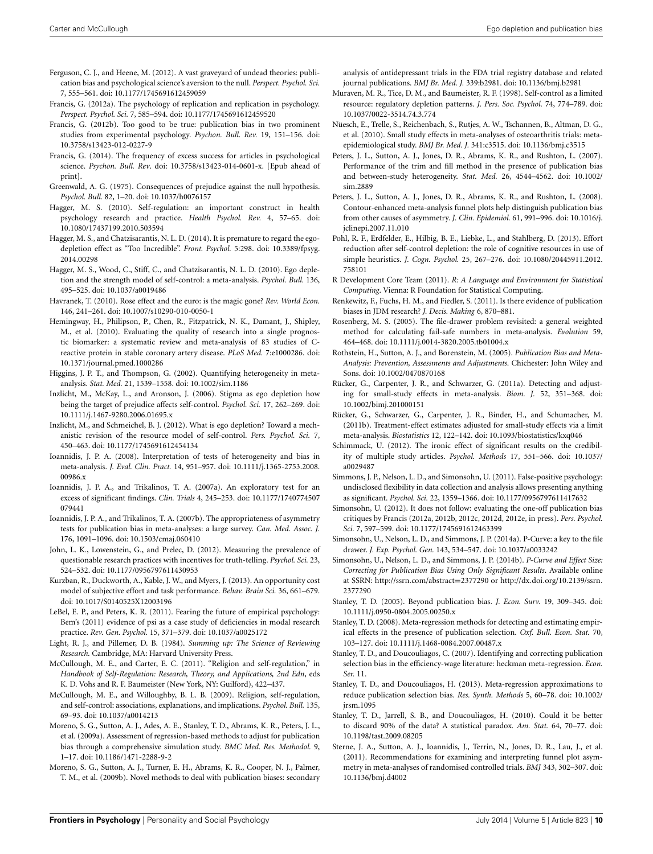- <span id="page-9-23"></span>Ferguson, C. J., and Heene, M. (2012). A vast graveyard of undead theories: publication bias and psychological science's aversion to the null. *Perspect. Psychol. Sci.* 7, 555–561. doi: 10.1177/1745691612459059
- <span id="page-9-24"></span>Francis, G. (2012a). The psychology of replication and replication in psychology. *Perspect. Psychol. Sci.* 7, 585–594. doi: 10.1177/1745691612459520
- <span id="page-9-26"></span>Francis, G. (2012b). Too good to be true: publication bias in two prominent studies from experimental psychology. *Psychon. Bull. Rev.* 19, 151–156. doi: 10.3758/s13423-012-0227-9
- <span id="page-9-29"></span>Francis, G. (2014). The frequency of excess success for articles in psychological science. *Psychon. Bull. Rev*. doi: 10.3758/s13423-014-0601-x. [Epub ahead of print].
- <span id="page-9-45"></span>Greenwald, A. G. (1975). Consequences of prejudice against the null hypothesis. *Psychol. Bull.* 82, 1–20. doi: 10.1037/h0076157
- <span id="page-9-1"></span>Hagger, M. S. (2010). Self-regulation: an important construct in health psychology research and practice. *Health Psychol. Rev.* 4, 57–65. doi: 10.1080/17437199.2010.503594
- <span id="page-9-12"></span>Hagger, M. S., and Chatzisarantis, N. L. D. (2014). It is premature to regard the egodepletion effect as "Too Incredible". *Front. Psychol.* 5:298. doi: 10.3389/fpsyg. 2014.00298
- <span id="page-9-4"></span>Hagger, M. S., Wood, C., Stiff, C., and Chatzisarantis, N. L. D. (2010). Ego depletion and the strength model of self-control: a meta-analysis. *Psychol. Bull.* 136, 495–525. doi: 10.1037/a0019486
- <span id="page-9-15"></span>Havranek, T. (2010). Rose effect and the euro: is the magic gone? *Rev. World Econ.* 146, 241–261. doi: 10.1007/s10290-010-0050-1
- <span id="page-9-17"></span>Hemingway, H., Philipson, P., Chen, R., Fitzpatrick, N. K., Damant, J., Shipley, M., et al. (2010). Evaluating the quality of research into a single prognostic biomarker: a systematic review and meta-analysis of 83 studies of Creactive protein in stable coronary artery disease. *PLoS Med.* 7:e1000286. doi: 10.1371/journal.pmed.1000286
- <span id="page-9-36"></span>Higgins, J. P. T., and Thompson, G. (2002). Quantifying heterogeneity in metaanalysis. *Stat. Med.* 21, 1539–1558. doi: 10.1002/sim.1186
- <span id="page-9-0"></span>Inzlicht, M., McKay, L., and Aronson, J. (2006). Stigma as ego depletion how being the target of prejudice affects self-control. *Psychol. Sci.* 17, 262–269. doi: 10.1111/j.1467-9280.2006.01695.x
- <span id="page-9-5"></span>Inzlicht, M., and Schmeichel, B. J. (2012). What is ego depletion? Toward a mechanistic revision of the resource model of self-control. *Pers. Psychol. Sci.* 7, 450–463. doi: 10.1177/1745691612454134
- <span id="page-9-30"></span>Ioannidis, J. P. A. (2008). Interpretation of tests of heterogeneity and bias in meta-analysis. *J. Eval. Clin. Pract.* 14, 951–957. doi: 10.1111/j.1365-2753.2008. 00986.x
- <span id="page-9-9"></span>Ioannidis, J. P. A., and Trikalinos, T. A. (2007a). An exploratory test for an excess of significant findings. *Clin. Trials* 4, 245–253. doi: 10.1177/1740774507 079441
- <span id="page-9-37"></span>Ioannidis, J. P. A., and Trikalinos, T. A. (2007b). The appropriateness of asymmetry tests for publication bias in meta-analyses: a large survey. *Can. Med. Assoc. J.* 176, 1091–1096. doi: 10.1503/cmaj.060410
- <span id="page-9-42"></span>John, L. K., Lowenstein, G., and Prelec, D. (2012). Measuring the prevalence of questionable research practices with incentives for truth-telling. *Psychol. Sci.* 23, 524–532. doi: 10.1177/0956797611430953
- <span id="page-9-6"></span>Kurzban, R., Duckworth, A., Kable, J. W., and Myers, J. (2013). An opportunity cost model of subjective effort and task performance. *Behav. Brain Sci.* 36, 661–679. doi: 10.1017/S0140525X12003196
- <span id="page-9-25"></span>LeBel, E. P., and Peters, K. R. (2011). Fearing the future of empirical psychology: Bem's (2011) evidence of psi as a case study of deficiencies in modal research practice. *Rev. Gen. Psychol.* 15, 371–379. doi: 10.1037/a0025172
- <span id="page-9-32"></span>Light, R. J., and Pillemer, D. B. (1984). *Summing up: The Science of Reviewing Research.* Cambridge, MA: Harvard University Press.
- <span id="page-9-8"></span>McCullough, M. E., and Carter, E. C. (2011). "Religion and self-regulation," in *Handbook of Self-Regulation: Research, Theory, and Applications, 2nd Edn*, eds K. D. Vohs and R. F. Baumeister (New York, NY: Guilford), 422–437.
- <span id="page-9-7"></span>McCullough, M. E., and Willoughby, B. L. B. (2009). Religion, self-regulation, and self-control: associations, explanations, and implications. *Psychol. Bull.* 135, 69–93. doi: 10.1037/a0014213
- <span id="page-9-11"></span>Moreno, S. G., Sutton, A. J., Ades, A. E., Stanley, T. D., Abrams, K. R., Peters, J. L., et al. (2009a). Assessment of regression-based methods to adjust for publication bias through a comprehensive simulation study. *BMC Med. Res. Methodol.* 9, 1–17. doi: 10.1186/1471-2288-9-2
- <span id="page-9-16"></span>Moreno, S. G., Sutton, A. J., Turner, E. H., Abrams, K. R., Cooper, N. J., Palmer, T. M., et al. (2009b). Novel methods to deal with publication biases: secondary

analysis of antidepressant trials in the FDA trial registry database and related journal publications. *BMJ Br. Med. J.* 339:b2981. doi: 10.1136/bmj.b2981

- <span id="page-9-3"></span>Muraven, M. R., Tice, D. M., and Baumeister, R. F. (1998). Self-control as a limited resource: regulatory depletion patterns. *J. Pers. Soc. Psychol.* 74, 774–789. doi: 10.1037/0022-3514.74.3.774
- <span id="page-9-18"></span>Nüesch, E., Trelle, S., Reichenbach, S., Rutjes, A. W., Tschannen, B., Altman, D. G., et al. (2010). Small study effects in meta-analyses of osteoarthritis trials: metaepidemiological study. *BMJ Br. Med. J.* 341:c3515. doi: 10.1136/bmj.c3515
- <span id="page-9-33"></span>Peters, J. L., Sutton, A. J., Jones, D. R., Abrams, K. R., and Rushton, L. (2007). Performance of the trim and fill method in the presence of publication bias and between-study heterogeneity. *Stat. Med.* 26, 4544–4562. doi: 10.1002/ sim.2889
- <span id="page-9-40"></span>Peters, J. L., Sutton, A. J., Jones, D. R., Abrams, K. R., and Rushton, L. (2008). Contour-enhanced meta-analysis funnel plots help distinguish publication bias from other causes of asymmetry. *J. Clin. Epidemiol.* 61, 991–996. doi: 10.1016/j. jclinepi.2007.11.010
- <span id="page-9-2"></span>Pohl, R. F., Erdfelder, E., Hilbig, B. E., Liebke, L., and Stahlberg, D. (2013). Effort reduction after self-control depletion: the role of cognitive resources in use of simple heuristics. *J. Cogn. Psychol.* 25, 267–276. doi: 10.1080/20445911.2012. 758101
- <span id="page-9-39"></span>R Development Core Team (2011). *R: A Language and Environment for Statistical Computing*. Vienna: R Foundation for Statistical Computing.
- <span id="page-9-21"></span>Renkewitz, F., Fuchs, H. M., and Fiedler, S. (2011). Is there evidence of publication biases in JDM research? *J. Decis. Making* 6, 870–881.
- <span id="page-9-31"></span>Rosenberg, M. S. (2005). The file-drawer problem revisited: a general weighted method for calculating fail-safe numbers in meta-analysis. *Evolution* 59, 464–468. doi: 10.1111/j.0014-3820.2005.tb01004.x
- <span id="page-9-22"></span>Rothstein, H., Sutton, A. J., and Borenstein, M. (2005). *Publication Bias and Meta-Analysis: Prevention, Assessments and Adjustments*. Chichester: John Wiley and Sons. doi: 10.1002/0470870168
- <span id="page-9-19"></span>Rücker, G., Carpenter, J. R., and Schwarzer, G. (2011a). Detecting and adjusting for small-study effects in meta-analysis. *Biom. J.* 52, 351–368. doi: 10.1002/bimj.201000151
- <span id="page-9-20"></span>Rücker, G., Schwarzer, G., Carpenter, J. R., Binder, H., and Schumacher, M. (2011b). Treatment-effect estimates adjusted for small-study effects via a limit meta-analysis. *Biostatistics* 12, 122–142. doi: 10.1093/biostatistics/kxq046
- <span id="page-9-27"></span>Schimmack, U. (2012). The ironic effect of significant results on the credibility of multiple study articles. *Psychol. Methods* 17, 551–566. doi: 10.1037/ a0029487
- <span id="page-9-41"></span>Simmons, J. P., Nelson, L. D., and Simonsohn, U. (2011). False-positive psychology: undisclosed flexibility in data collection and analysis allows presenting anything as significant. *Psychol. Sci.* 22, 1359–1366. doi: 10.1177/0956797611417632
- <span id="page-9-28"></span>Simonsohn, U. (2012). It does not follow: evaluating the one-off publication bias critiques by Francis (2012a, 2012b, 2012c, 2012d, 2012e, in press). *Pers. Psychol. Sci.* 7, 597–599. doi: 10.1177/1745691612463399
- <span id="page-9-43"></span>Simonsohn, U., Nelson, L. D., and Simmons, J. P. (2014a). P-Curve: a key to the file drawer. *J. Exp. Psychol. Gen.* 143, 534–547. doi: 10.1037/a0033242
- <span id="page-9-44"></span>Simonsohn, U., Nelson, L. D., and Simmons, J. P. (2014b). *P-Curve and Effect Size: Correcting for Publication Bias Using Only Significant Results*. Available online at SSRN: http://ssrn*.*[com/abstract](http://ssrn.com/abstract=2377290)=2377290 or http://dx*.*doi*.*org/10*.*[2139/ssrn](http://dx.doi.org/10.2139/ssrn.2377290)*.* [2377290](http://dx.doi.org/10.2139/ssrn.2377290)
- <span id="page-9-14"></span>Stanley, T. D. (2005). Beyond publication bias. *J. Econ. Surv.* 19, 309–345. doi: 10.1111/j.0950-0804.2005.00250.x
- <span id="page-9-10"></span>Stanley, T. D. (2008). Meta-regression methods for detecting and estimating empirical effects in the presence of publication selection. *Oxf. Bull. Econ. Stat.* 70, 103–127. doi: 10.1111/j.1468-0084.2007.00487.x
- <span id="page-9-34"></span>Stanley, T. D., and Doucouliagos, C. (2007). Identifying and correcting publication selection bias in the efficiency-wage literature: heckman meta-regression. *Econ. Ser.* 11.
- <span id="page-9-13"></span>Stanley, T. D., and Doucouliagos, H. (2013). Meta-regression approximations to reduce publication selection bias. *Res. Synth. Methods* 5, 60–78. doi: 10.1002/ jrsm.1095
- <span id="page-9-35"></span>Stanley, T. D., Jarrell, S. B., and Doucouliagos, H. (2010). Could it be better to discard 90% of the data? A statistical paradox*. Am. Stat.* 64, 70–77. doi: 10.1198/tast.2009.08205
- <span id="page-9-38"></span>Sterne, J. A., Sutton, A. J., Ioannidis, J., Terrin, N., Jones, D. R., Lau, J., et al. (2011). Recommendations for examining and interpreting funnel plot asymmetry in meta-analyses of randomised controlled trials. *BMJ* 343, 302–307. doi: 10.1136/bmj.d4002